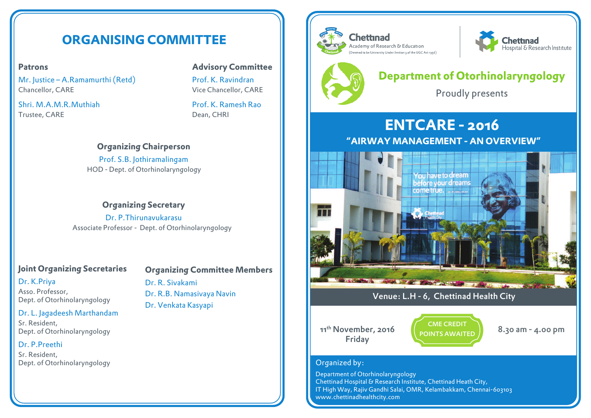# **ORGANISING COMMITTEE**

## **Patrons**

Mr. Justice – A.Ramamurthi (Retd) Chancellor, CARE

Shri. M.A.M.R.Muthiah Trustee, CARE

# **Advisory Committee**

Prof. K. Ravindran Vice Chancellor, CARE

Prof. K. Ramesh Rao Dean, CHRI

## **Organizing Chairperson**

Prof. S.B. Jothiramalingam HOD - Dept. of Otorhinolaryngology

**Organizing Secretary** Dr. P.Thirunavukarasu Associate Professor - Dept. of Otorhinolaryngology

# **Joint Organizing Secretaries**

#### Dr. K.Priya

Asso. Professor, Dept. of Otorhinolaryngology

#### Dr. L. Jagadeesh Marthandam

Sr. Resident, Dept. of Otorhinolaryngology

#### Dr. P.Preethi

Sr. Resident, Dept. of Otorhinolaryngology

**Organizing Committee Members** Dr. R. Sivakami Dr. R.B. Namasivaya Navin

Dr. Venkata Kasyapi





# **Department of Otorhinolaryngology**

Proudly presents

# **ENTCARE - 2016**

**"AIRWAY MANAGEMENT - AN OVERVIEW"**



# Venue: L.H - 6, Chettinad Health City

11<sup>th</sup> November, 2016 Friday

CME CREDIT POINTS AWAITED



# Organized by:

Department of Otorhinolaryngology Chettinad Hospital & Research Institute, Chettinad Heath City, IT High Way, Rajiv Gandhi Salai, OMR, Kelambakkam, Chennai-603103 www.chettinadhealthcity.com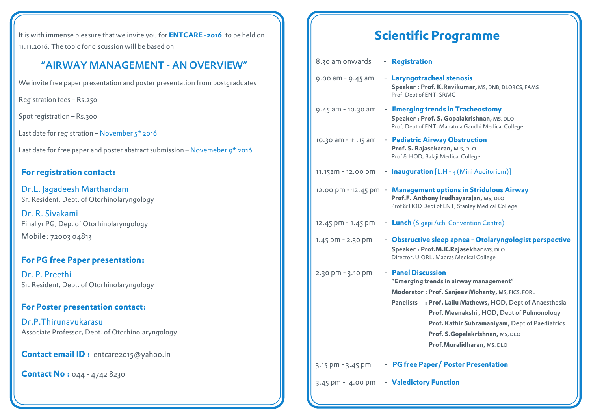It is with immense pleasure that we invite you for **ENTCARE -2016** to be held on 11.11.2016. The topic for discussion will be based on

# "AIRWAY MANAGEMENT - AN OVERVIEW"

We invite free paper presentation and poster presentation from postgraduates

Registration fees – Rs.250

Spot registration - Rs.300

Last date for registration – November  $5<sup>th</sup>$  2016

Last date for free paper and poster abstract submission  $-$  Novemeber  $9<sup>th</sup>$  2016

## **For registration contact:**

Dr.L. Jagadeesh Marthandam Sr. Resident, Dept. of Otorhinolaryngology

Dr. R. Sivakami Final yr PG, Dep. of Otorhinolaryngology Mobile: 72003 04813

# **For PG free Paper presentation:**

Dr. P. Preethi Sr. Resident, Dept. of Otorhinolaryngology

## **For Poster presentation contact:**

Dr.P.Thirunavukarasu Associate Professor, Dept. of Otorhinolaryngology

**Contact email ID :** entcare2015@yahoo.in

## **Contact No : 044 - 4742 8230**

# **Scientific Programme**

| 8.30 am onwards       | - Registration                                                                                                                                                                                                                                                                                                                                           |
|-----------------------|----------------------------------------------------------------------------------------------------------------------------------------------------------------------------------------------------------------------------------------------------------------------------------------------------------------------------------------------------------|
| $9.00$ am - $9.45$ am | - Laryngotracheal stenosis<br>Speaker: Prof. K.Ravikumar, MS, DNB, DLORCS, FAMS<br>Prof, Dept of ENT, SRMC                                                                                                                                                                                                                                               |
| 9.45 am - 10.30 am    | - Emerging trends in Tracheostomy<br>Speaker: Prof. S. Gopalakrishnan, MS, DLO<br>Prof, Dept of ENT, Mahatma Gandhi Medical College                                                                                                                                                                                                                      |
| 10.30 am - 11.15 am   | - Pediatric Airway Obstruction<br>Prof. S. Rajasekaran, M.S, DLO<br>Prof & HOD, Balaji Medical College                                                                                                                                                                                                                                                   |
| 11.15am - 12.00 pm    | <b>- Inauguration</b> [L.H - 3 (Mini Auditorium)]                                                                                                                                                                                                                                                                                                        |
|                       | 12.00 pm - 12.45 pm - Management options in Stridulous Airway<br>Prof.F. Anthony Irudhayarajan, MS, DLO<br>Prof & HOD Dept of ENT, Stanley Medical College                                                                                                                                                                                               |
| 12.45 pm - 1.45 pm    | - Lunch (Sigapi Achi Convention Centre)                                                                                                                                                                                                                                                                                                                  |
| 1.45 pm - 2.30 pm     | - Obstructive sleep apnea - Otolaryngologist perspective<br>Speaker: Prof.M.K.Rajasekhar MS, DLO<br>Director, UIORL, Madras Medical College                                                                                                                                                                                                              |
| 2.30 pm - 3.10 pm     | - Panel Discussion<br>"Emerging trends in airway management"<br>Moderator : Prof. Sanjeev Mohanty, MS, FICS, FORL<br><b>Panelists</b><br>: Prof. Lailu Mathews, HOD, Dept of Anaesthesia<br>Prof. Meenakshi, HOD, Dept of Pulmonology<br>Prof. Kathir Subramaniyam, Dept of Paediatrics<br>Prof. S.Gopalakrishnan, MS, DLO<br>Prof.Muralidharan, MS, DLO |
| 3.15 pm - 3.45 pm     | - PG free Paper/Poster Presentation                                                                                                                                                                                                                                                                                                                      |
| $3.45$ pm - $4.00$ pm | - Valedictory Function                                                                                                                                                                                                                                                                                                                                   |